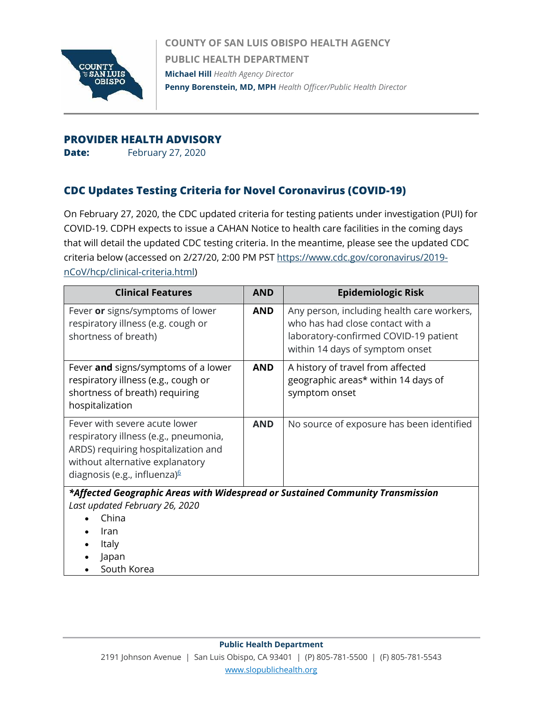

**COUNTY OF SAN LUIS OBISPO HEALTH AGENCY PUBLIC HEALTH DEPARTMENT Michael Hill** *Health Agency Director* **Penny Borenstein, MD, MPH** *Health Officer/Public Health Director*

## **PROVIDER HEALTH ADVISORY**

**Date:** February 27, 2020

## **CDC Updates Testing Criteria for Novel Coronavirus (COVID-19)**

On February 27, 2020, the CDC updated criteria for testing patients under investigation (PUI) for COVID-19. CDPH expects to issue a CAHAN Notice to health care facilities in the coming days that will detail the updated CDC testing criteria. In the meantime, please see the updated CDC criteria below (accessed on 2/27/20, 2:00 PM PST [https://www.cdc.gov/coronavirus/2019](https://www.cdc.gov/coronavirus/2019-nCoV/hcp/clinical-criteria.html) [nCoV/hcp/clinical-criteria.html\)](https://www.cdc.gov/coronavirus/2019-nCoV/hcp/clinical-criteria.html)

| <b>Clinical Features</b>                                                                                                                                                            | <b>AND</b> | <b>Epidemiologic Risk</b>                                                                                                                                  |
|-------------------------------------------------------------------------------------------------------------------------------------------------------------------------------------|------------|------------------------------------------------------------------------------------------------------------------------------------------------------------|
| Fever or signs/symptoms of lower<br>respiratory illness (e.g. cough or<br>shortness of breath)                                                                                      | <b>AND</b> | Any person, including health care workers,<br>who has had close contact with a<br>laboratory-confirmed COVID-19 patient<br>within 14 days of symptom onset |
| Fever and signs/symptoms of a lower<br>respiratory illness (e.g., cough or<br>shortness of breath) requiring<br>hospitalization                                                     | <b>AND</b> | A history of travel from affected<br>geographic areas* within 14 days of<br>symptom onset                                                                  |
| Fever with severe acute lower<br>respiratory illness (e.g., pneumonia,<br>ARDS) requiring hospitalization and<br>without alternative explanatory<br>diagnosis (e.g., influenza) $6$ | <b>AND</b> | No source of exposure has been identified                                                                                                                  |
| *Affected Geographic Areas with Widespread or Sustained Community Transmission                                                                                                      |            |                                                                                                                                                            |

*Last updated February 26, 2020*

- China
- Iran
- Italy
- Japan
- South Korea